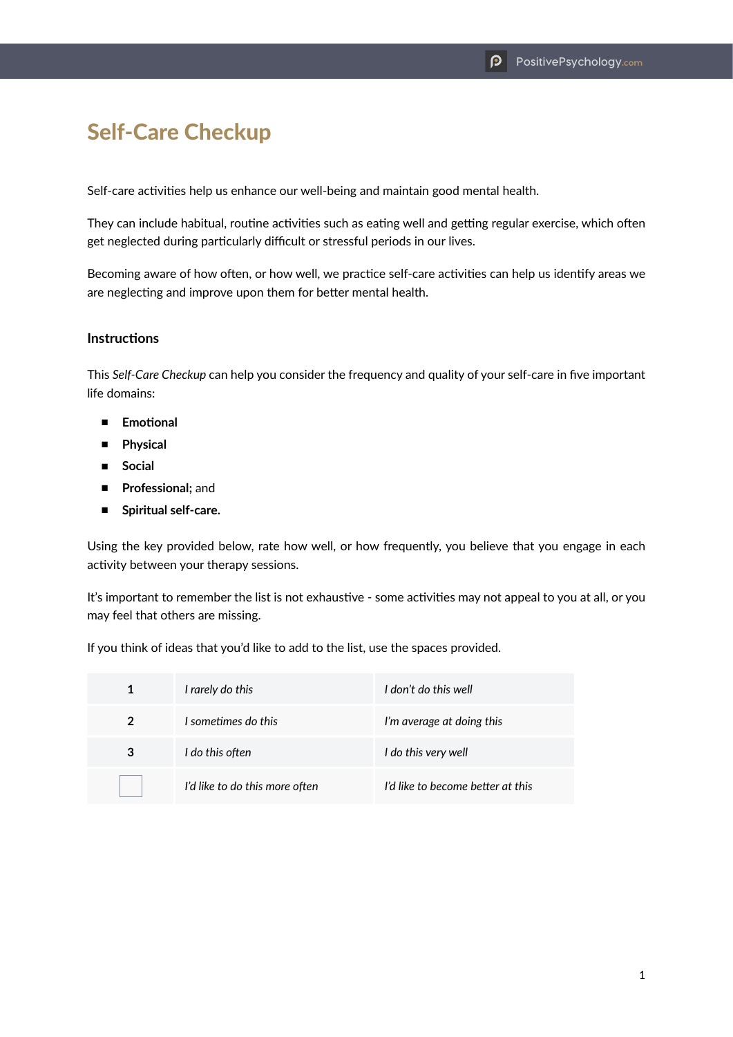## Self-Care Checkup

Self-care activities help us enhance our well-being and maintain good mental health.

They can include habitual, routine activities such as eating well and getting regular exercise, which often get neglected during particularly difficult or stressful periods in our lives.

Becoming aware of how often, or how well, we practice self-care activities can help us identify areas we are neglecting and improve upon them for better mental health.

## **Instructions**

This *Self-Care Checkup* can help you consider the frequency and quality of your self-care in five important life domains:

- **Emotional**
- **Physical**
- **Social**
- **Professional**; and
- **Spiritual self-care.**

Using the key provided below, rate how well, or how frequently, you believe that you engage in each activity between your therapy sessions.

It's important to remember the list is not exhaustive - some activities may not appeal to you at all, or you may feel that others are missing.

If you think of ideas that you'd like to add to the list, use the spaces provided.

| 1              | I rarely do this               | I don't do this well              |
|----------------|--------------------------------|-----------------------------------|
| $\overline{2}$ | I sometimes do this            | I'm average at doing this         |
| 3              | I do this often                | I do this very well               |
|                | I'd like to do this more often | I'd like to become better at this |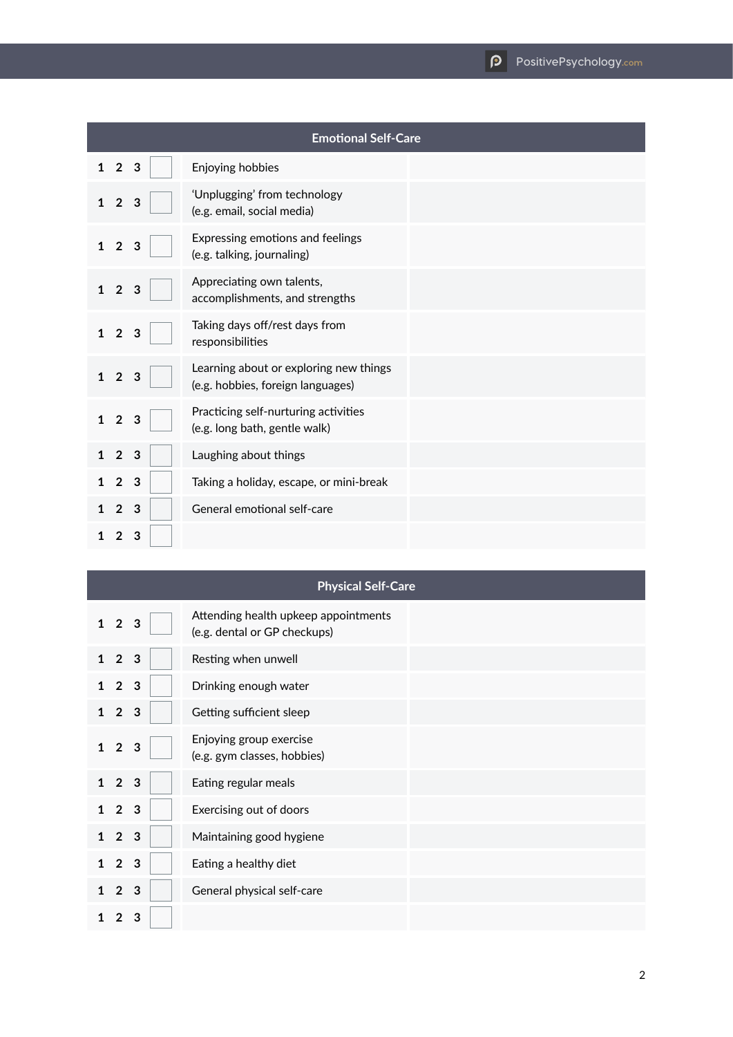|              | <b>Emotional Self-Care</b> |              |  |                                                                             |  |
|--------------|----------------------------|--------------|--|-----------------------------------------------------------------------------|--|
| $\mathbf{1}$ | $\overline{2}$             | $\mathbf{3}$ |  | Enjoying hobbies                                                            |  |
| 1            | $\overline{2}$             | 3            |  | 'Unplugging' from technology<br>(e.g. email, social media)                  |  |
| $\mathbf{1}$ | $\overline{2}$             | 3            |  | Expressing emotions and feelings<br>(e.g. talking, journaling)              |  |
| 1            | $\overline{2}$             | 3            |  | Appreciating own talents,<br>accomplishments, and strengths                 |  |
| 1            | $\overline{2}$             | 3            |  | Taking days off/rest days from<br>responsibilities                          |  |
| $\mathbf{1}$ | $\overline{2}$             | 3            |  | Learning about or exploring new things<br>(e.g. hobbies, foreign languages) |  |
| 1            | $\overline{2}$             | 3            |  | Practicing self-nurturing activities<br>(e.g. long bath, gentle walk)       |  |
|              | $\overline{2}$             | 3            |  | Laughing about things                                                       |  |
|              | $\overline{2}$             | 3            |  | Taking a holiday, escape, or mini-break                                     |  |
|              | $\overline{2}$             | -3           |  | General emotional self-care                                                 |  |
| 1            | $\overline{2}$             | 3            |  |                                                                             |  |

| <b>Physical Self-Care</b> |                   |              |                                                                      |
|---------------------------|-------------------|--------------|----------------------------------------------------------------------|
|                           | $1\quad 2\quad 3$ |              | Attending health upkeep appointments<br>(e.g. dental or GP checkups) |
| $\mathbf 1$               | 2 <sub>3</sub>    |              | Resting when unwell                                                  |
|                           | 2 <sub>3</sub>    |              | Drinking enough water                                                |
| 1                         | $\overline{2}$    | $\mathbf{3}$ | Getting sufficient sleep                                             |
|                           | $1\quad 2$        | 3            | Enjoying group exercise<br>(e.g. gym classes, hobbies)               |
| $\mathbf 1$               | 2 <sub>3</sub>    |              | Eating regular meals                                                 |
| 1                         | 2 <sub>3</sub>    |              | Exercising out of doors                                              |
| 1                         | 2 <sub>3</sub>    |              | Maintaining good hygiene                                             |
| 1                         | 2 <sub>3</sub>    |              | Eating a healthy diet                                                |
|                           | $\overline{2}$    | $\mathbf{3}$ | General physical self-care                                           |
|                           | $\mathfrak{p}$    | 3            |                                                                      |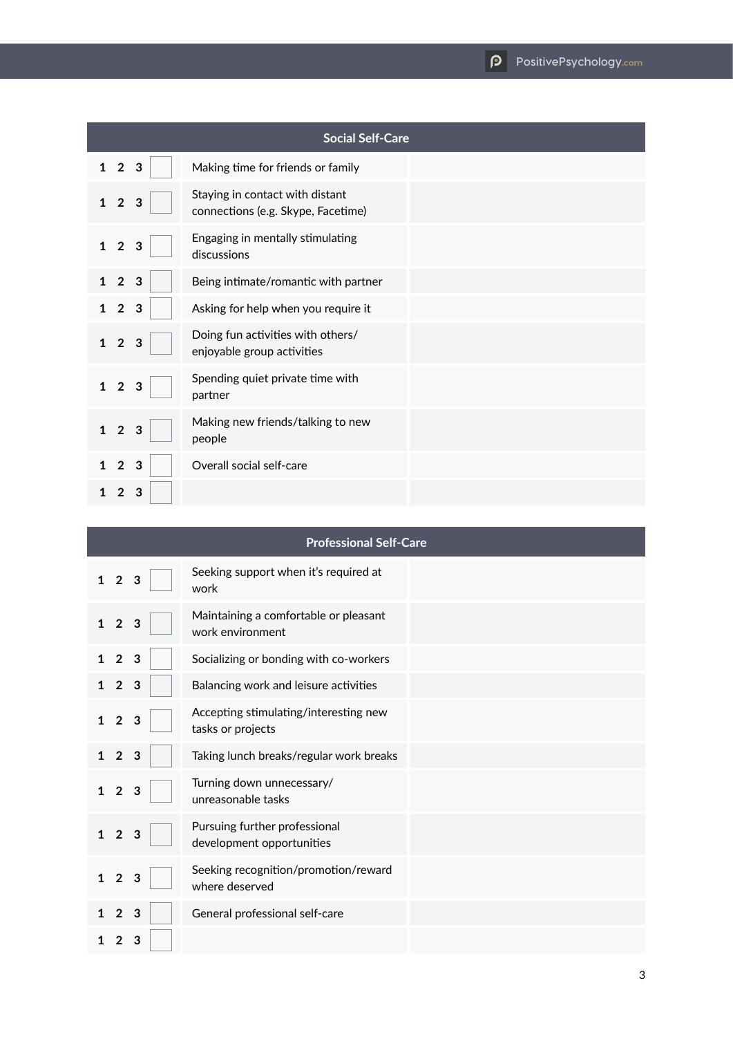| <b>Social Self-Care</b>             |                                                                       |  |  |
|-------------------------------------|-----------------------------------------------------------------------|--|--|
| $\mathbf{1}$<br>$\overline{2}$<br>3 | Making time for friends or family                                     |  |  |
| $\overline{2}$<br>3<br>$\mathbf{1}$ | Staying in contact with distant<br>connections (e.g. Skype, Facetime) |  |  |
| $\overline{2}$<br>3<br>$\mathbf{1}$ | Engaging in mentally stimulating<br>discussions                       |  |  |
| 2 <sub>3</sub>                      | Being intimate/romantic with partner                                  |  |  |
| $\overline{2}$<br>3                 | Asking for help when you require it                                   |  |  |
| $1\quad2$<br>3                      | Doing fun activities with others/<br>enjoyable group activities       |  |  |
| $\overline{2}$<br>3<br>1            | Spending quiet private time with<br>partner                           |  |  |
| $\overline{2}$<br>3                 | Making new friends/talking to new<br>people                           |  |  |
| $\overline{2}$<br>3                 | Overall social self-care                                              |  |  |
| 3                                   |                                                                       |  |  |

| <b>Professional Self-Care</b>       |                                                            |  |  |
|-------------------------------------|------------------------------------------------------------|--|--|
| $\mathbf 1$<br>$\overline{2}$<br>3  | Seeking support when it's required at<br>work              |  |  |
| $\mathbf{1}$<br>$\overline{2}$<br>3 | Maintaining a comfortable or pleasant<br>work environment  |  |  |
| $\overline{2}$<br>3                 | Socializing or bonding with co-workers                     |  |  |
| $\overline{2}$<br>$\mathbf{3}$      | Balancing work and leisure activities                      |  |  |
| $\overline{2}$<br>$\mathbf{1}$<br>3 | Accepting stimulating/interesting new<br>tasks or projects |  |  |
| $\overline{2}$<br>3<br>1            | Taking lunch breaks/regular work breaks                    |  |  |
| $\overline{2}$<br>$\mathbf{1}$<br>3 | Turning down unnecessary/<br>unreasonable tasks            |  |  |
| $\overline{2}$<br>$\mathbf{1}$<br>3 | Pursuing further professional<br>development opportunities |  |  |
| $\overline{2}$<br>3<br>1            | Seeking recognition/promotion/reward<br>where deserved     |  |  |
| 3<br>$\mathbf{2}$                   | General professional self-care                             |  |  |
| з                                   |                                                            |  |  |